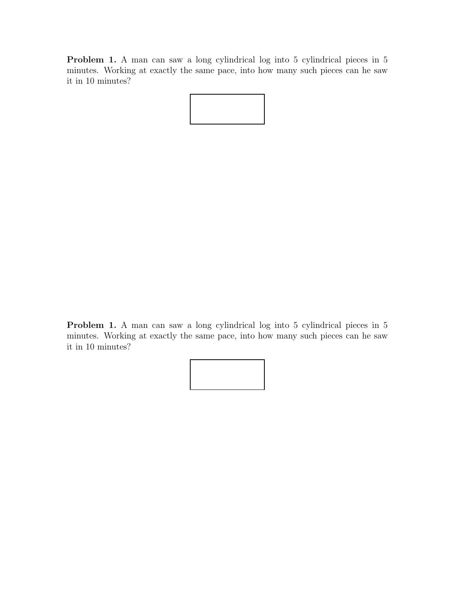Problem 1. A man can saw a long cylindrical log into 5 cylindrical pieces in 5 minutes. Working at exactly the same pace, into how many such pieces can he saw it in 10 minutes?

Problem 1. A man can saw a long cylindrical log into 5 cylindrical pieces in 5 minutes. Working at exactly the same pace, into how many such pieces can he saw it in 10 minutes?

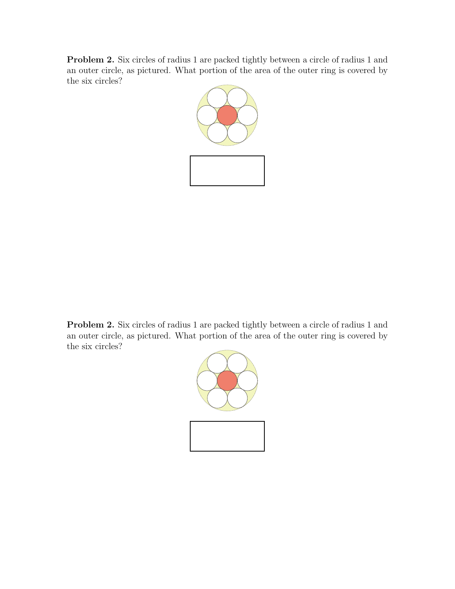Problem 2. Six circles of radius 1 are packed tightly between a circle of radius 1 and an outer circle, as pictured. What portion of the area of the outer ring is covered by the six circles?



Problem 2. Six circles of radius 1 are packed tightly between a circle of radius 1 and an outer circle, as pictured. What portion of the area of the outer ring is covered by the six circles?

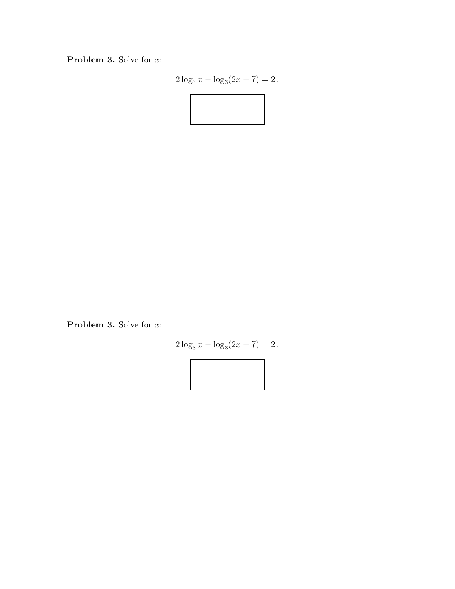Problem 3. Solve for x:

$$
2\log_3 x - \log_3(2x+7) = 2.
$$



Problem 3. Solve for x:

$$
2\log_3 x - \log_3(2x+7) = 2.
$$

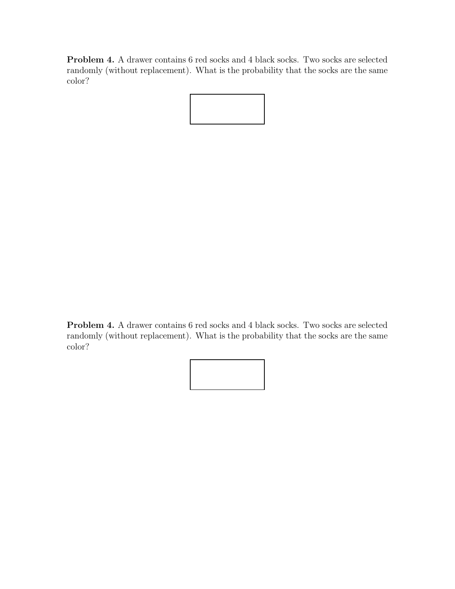Problem 4. A drawer contains 6 red socks and 4 black socks. Two socks are selected randomly (without replacement). What is the probability that the socks are the same color?



Problem 4. A drawer contains 6 red socks and 4 black socks. Two socks are selected randomly (without replacement). What is the probability that the socks are the same color?

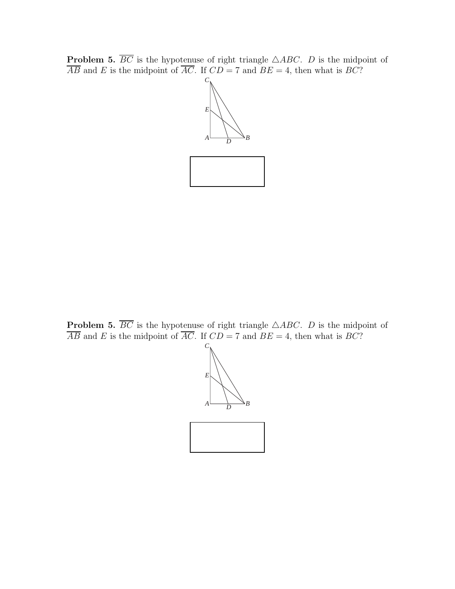**Problem 5.**  $\overline{BC}$  is the hypotenuse of right triangle  $\triangle ABC$ . D is the midpoint of  $\overline{AB}$  and E is the midpoint of  $\overline{AC}$ . If  $CD = 7$  and  $BE = 4$ , then what is BC?



**Problem 5.**  $\overline{BC}$  is the hypotenuse of right triangle  $\triangle ABC$ . D is the midpoint of  $\overline{AB}$  and E is the midpoint of  $\overline{AC}$ . If  $CD = 7$  and  $BE = 4$ , then what is BC?

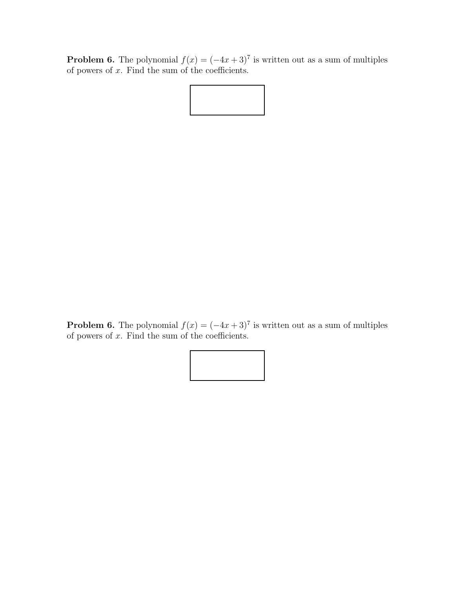**Problem 6.** The polynomial  $f(x) = (-4x+3)^7$  is written out as a sum of multiples of powers of  $x$ . Find the sum of the coefficients.

**Problem 6.** The polynomial  $f(x) = (-4x+3)^7$  is written out as a sum of multiples of powers of  $x$ . Find the sum of the coefficients.

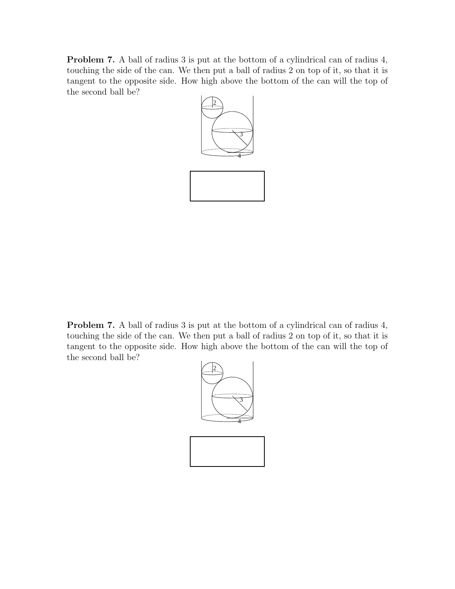Problem 7. A ball of radius 3 is put at the bottom of a cylindrical can of radius 4, touching the side of the can. We then put a ball of radius 2 on top of it, so that it is tangent to the opposite side. How high above the bottom of the can will the top of the second ball be?



Problem 7. A ball of radius 3 is put at the bottom of a cylindrical can of radius 4, touching the side of the can. We then put a ball of radius 2 on top of it, so that it is tangent to the opposite side. How high above the bottom of the can will the top of the second ball be?

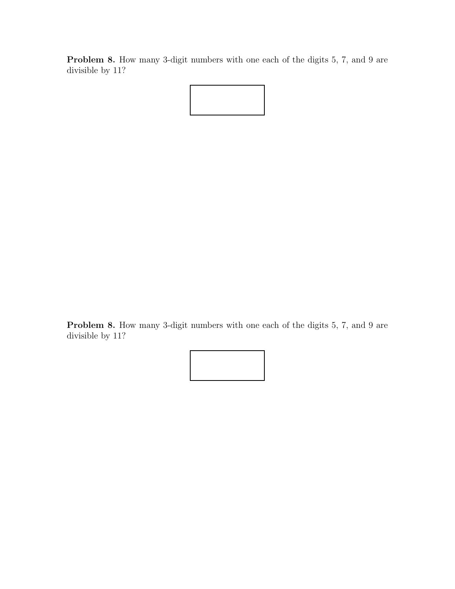Problem 8. How many 3-digit numbers with one each of the digits 5, 7, and 9 are divisible by 11?



Problem 8. How many 3-digit numbers with one each of the digits 5, 7, and 9 are divisible by 11?

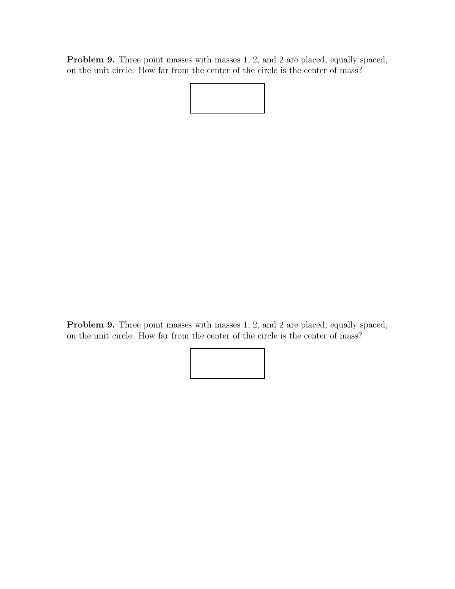Problem 9. Three point masses with masses 1, 2, and 2 are placed, equally spaced, on the unit circle. How far from the center of the circle is the center of mass?



Problem 9. Three point masses with masses 1, 2, and 2 are placed, equally spaced, on the unit circle. How far from the center of the circle is the center of mass?